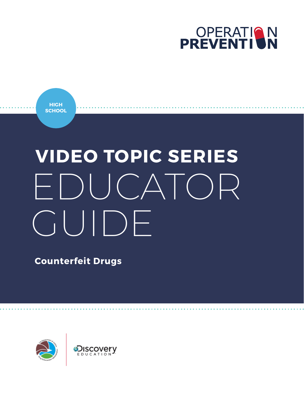

**HIGH SCHOOL**

# **VIDEO TOPIC SERIES** EDUCATOR GUIDE

**Counterfeit Drugs**

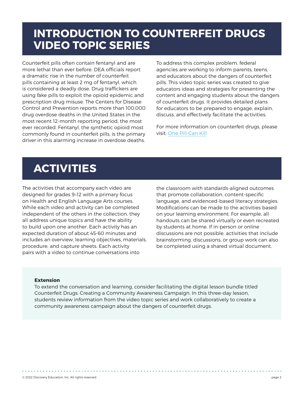### **INTRODUCTION TO COUNTERFEIT DRUGS VIDEO TOPIC SERIES**

Counterfeit pills often contain fentanyl and are more lethal than ever before. DEA officials report a dramatic rise in the number of counterfeit pills containing at least 2 mg of fentanyl, which is considered a deadly dose. Drug traffickers are using fake pills to exploit the opioid epidemic and prescription drug misuse. The Centers for Disease Control and Prevention reports more than 100,000 drug overdose deaths in the United States in the most recent 12-month reporting period, the most ever recorded. Fentanyl, the synthetic opioid most commonly found in counterfeit pills, is the primary driver in this alarming increase in overdose deaths.

To address this complex problem, federal agencies are working to inform parents, teens, and educators about the dangers of counterfeit pills. This video topic series was created to give educators ideas and strategies for presenting the content and engaging students about the dangers of counterfeit drugs. It provides detailed plans for educators to be prepared to engage, explain, discuss, and effectively facilitate the activities.

For more information on counterfeit drugs, please visit: [One Pill Can Kill](https://admin.dea.gov/onepill)

## **ACTIVITIES**

The activities that accompany each video are designed for grades 9–12 with a primary focus on Health and English Language Arts courses. While each video and activity can be completed independent of the others in the collection, they all address unique topics and have the ability to build upon one another. Each activity has an expected duration of about 45-60 minutes and includes an overview, learning objectives, materials, procedure, and capture sheets. Each activity pairs with a video to continue conversations into

the classroom with standards-aligned outcomes that promote collaboration, content-specific language, and evidenced-based literacy strategies. Modifications can be made to the activities based on your learning environment. For example, all handouts can be shared virtually or even recreated by students at home. If in-person or online discussions are not possible, activities that include brainstorming, discussions, or group work can also be completed using a shared virtual document.

#### **Extension**

To extend the conversation and learning, consider facilitating the digital lesson bundle titled Counterfeit Drugs: Creating a Community Awareness Campaign. In this three-day lesson, students review information from the video topic series and work collaboratively to create a community awareness campaign about the dangers of counterfeit drugs.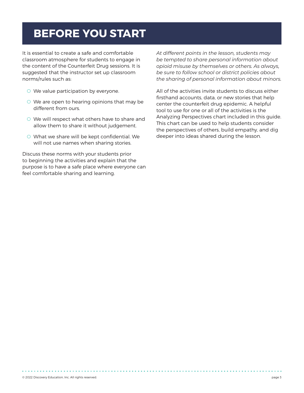## **BEFORE YOU START**

It is essential to create a safe and comfortable classroom atmosphere for students to engage in the content of the Counterfeit Drug sessions. It is suggested that the instructor set up classroom norms/rules such as:

- O We value participation by everyone.
- O We are open to hearing opinions that may be different from ours.
- O We will respect what others have to share and allow them to share it without judgement.
- O What we share will be kept confidential. We will not use names when sharing stories.

Discuss these norms with your students prior to beginning the activities and explain that the purpose is to have a safe place where everyone can feel comfortable sharing and learning.

*At different points in the lesson, students may be tempted to share personal information about opioid misuse by themselves or others. As always, be sure to follow school or district policies about the sharing of personal information about minors.*

All of the activities invite students to discuss either firsthand accounts, data, or new stories that help center the counterfeit drug epidemic. A helpful tool to use for one or all of the activities is the Analyzing Perspectives chart included in this guide. This chart can be used to help students consider the perspectives of others, build empathy, and dig deeper into ideas shared during the lesson.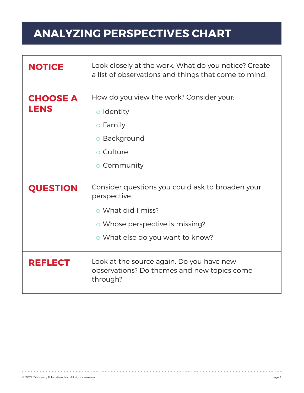# **ANALYZING PERSPECTIVES CHART**

| <b>NOTICE</b>           | Look closely at the work. What do you notice? Create<br>a list of observations and things that come to mind.                                                  |
|-------------------------|---------------------------------------------------------------------------------------------------------------------------------------------------------------|
| <b>CHOOSE A</b><br>LENS | How do you view the work? Consider your:<br>o Identity<br>$\circ$ Family<br>o Background<br>$\circ$ Culture<br>o Community                                    |
| <b>QUESTION</b>         | Consider questions you could ask to broaden your<br>perspective.<br>o What did I miss?<br>o Whose perspective is missing?<br>o What else do you want to know? |
| <b>REFLECT</b>          | Look at the source again. Do you have new<br>observations? Do themes and new topics come<br>through?                                                          |

 $\label{eq:reduced} \mathbf{u}^{\top} \mathbf{u}^{\top} = \mathbf{u}^{\top} \mathbf{u}^{\top} \mathbf{u}^{\top} = \mathbf{u}^{\top} \mathbf{u}^{\top} \mathbf{u}^{\top} = \mathbf{u}^{\top} \mathbf{u}^{\top}$ 

. . . . . . . . . . . . . . . .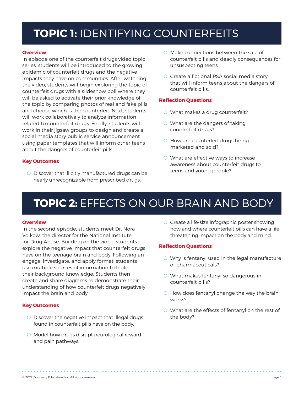### **TOPIC 1:** IDENTIFYING COUNTERFEITS

#### **Overview**

In episode one of the counterfeit drugs video topic series, students will be introduced to the growing epidemic of counterfeit drugs and the negative impacts they have on communities. After watching the video, students will begin exploring the topic of counterfeit drugs with a slideshow poll where they will be asked to activate their prior knowledge of the topic by comparing photos of real and fake pills and choose which is the counterfeit. Next, students will work collaboratively to analyze information related to counterfeit drugs. Finally, students will work in their jigsaw groups to design and create a social media story public service announcement using paper templates that will inform other teens about the dangers of counterfeit pills.

#### **Key Outcomes**

O Discover that illicitly manufactured drugs can be nearly unrecognizable from prescribed drugs.

- O Make connections between the sale of counterfeit pills and deadly consequences for unsuspecting teens.
- O Create a fictional PSA social media story that will inform teens about the dangers of counterfeit pills.

#### **Reflection Questions**

- O What makes a drug counterfeit?
- O What are the dangers of taking counterfeit drugs?
- O How are counterfeit drugs being marketed and sold?
- O What are effective ways to increase awareness about counterfeit drugs to teens and young people?

## **TOPIC 2:** EFFECTS ON OUR BRAIN AND BODY

#### **Overview**

In the second episode, students meet Dr. Nora Volkow, the director for the National Institute for Drug Abuse. Building on the video, students explore the negative impact that counterfeit drugs have on the teenage brain and body. Following an engage, investigate, and apply format, students use multiple sources of information to build their background knowledge. Students then create and share diagrams to demonstrate their understanding of how counterfeit drugs negatively impact the brain and body.

#### **Key Outcomes**

- O Discover the negative impact that illegal drugs found in counterfeit pills have on the body.
- O Model how drugs disrupt neurological reward and pain pathways.

O Create a life-size infographic poster showing how and where counterfeit pills can have a lifethreatening impact on the body and mind.

#### **Reflection Questions**

- O Why is fentanyl used in the legal manufacture of pharmaceuticals?
- O What makes fentanyl so dangerous in counterfeit pills?
- O How does fentanyl change the way the brain works?
- O What are the effects of fentanyl on the rest of the body?